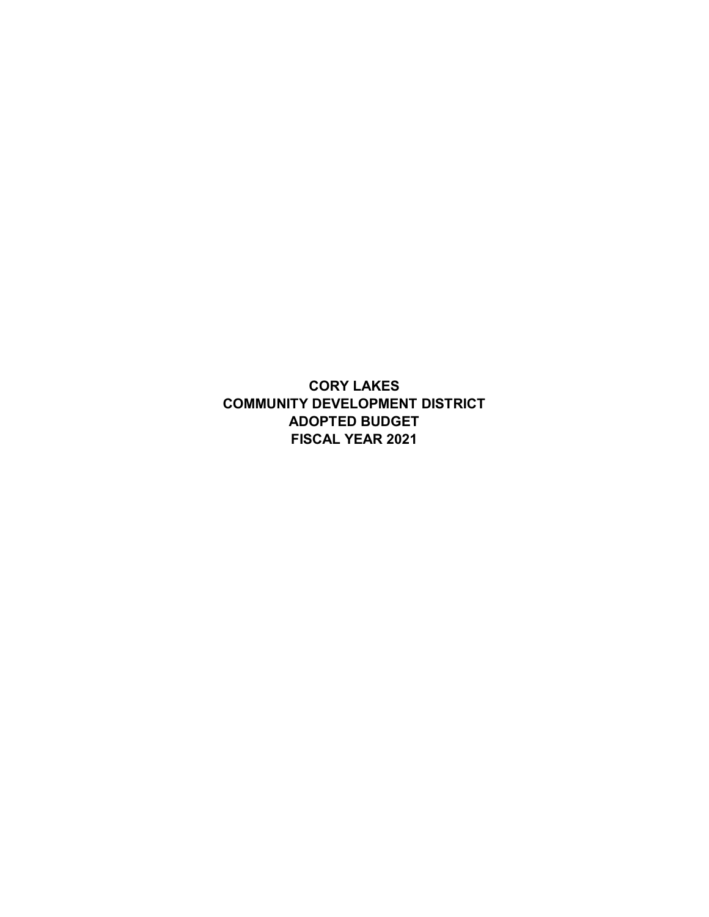**CORY LAKES COMMUNITY DEVELOPMENT DISTRICT ADOPTED BUDGET FISCAL YEAR 2021**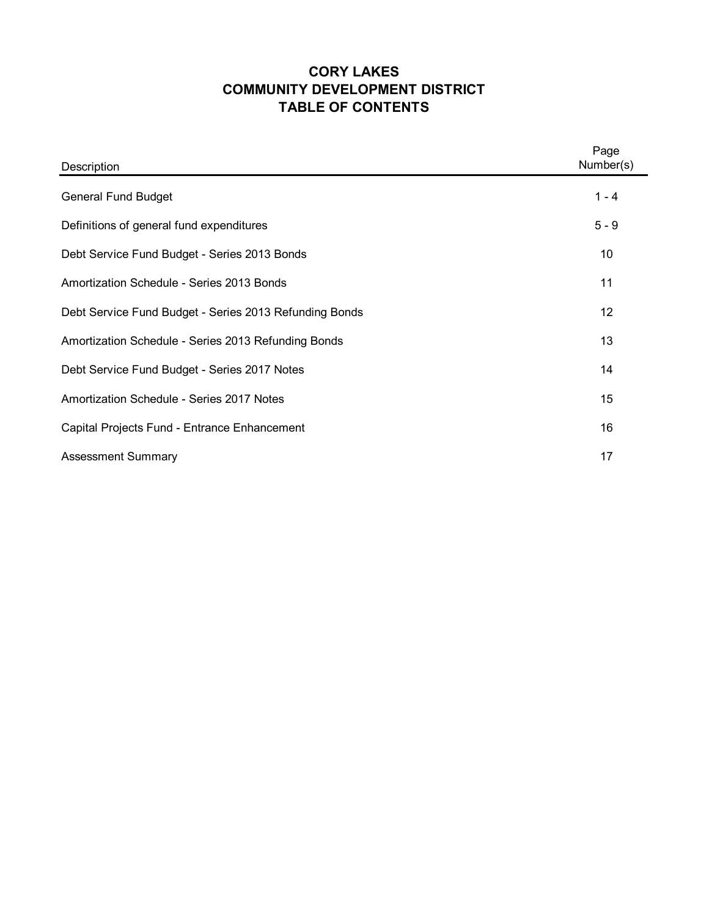# **CORY LAKES TABLE OF CONTENTS COMMUNITY DEVELOPMENT DISTRICT**

| Description                                            | Page<br>Number(s) |
|--------------------------------------------------------|-------------------|
| <b>General Fund Budget</b>                             | $1 - 4$           |
| Definitions of general fund expenditures               | $5 - 9$           |
| Debt Service Fund Budget - Series 2013 Bonds           | 10                |
| Amortization Schedule - Series 2013 Bonds              | 11                |
| Debt Service Fund Budget - Series 2013 Refunding Bonds | 12                |
| Amortization Schedule - Series 2013 Refunding Bonds    | 13                |
| Debt Service Fund Budget - Series 2017 Notes           | 14                |
| Amortization Schedule - Series 2017 Notes              | 15                |
| Capital Projects Fund - Entrance Enhancement           | 16                |
| <b>Assessment Summary</b>                              | 17                |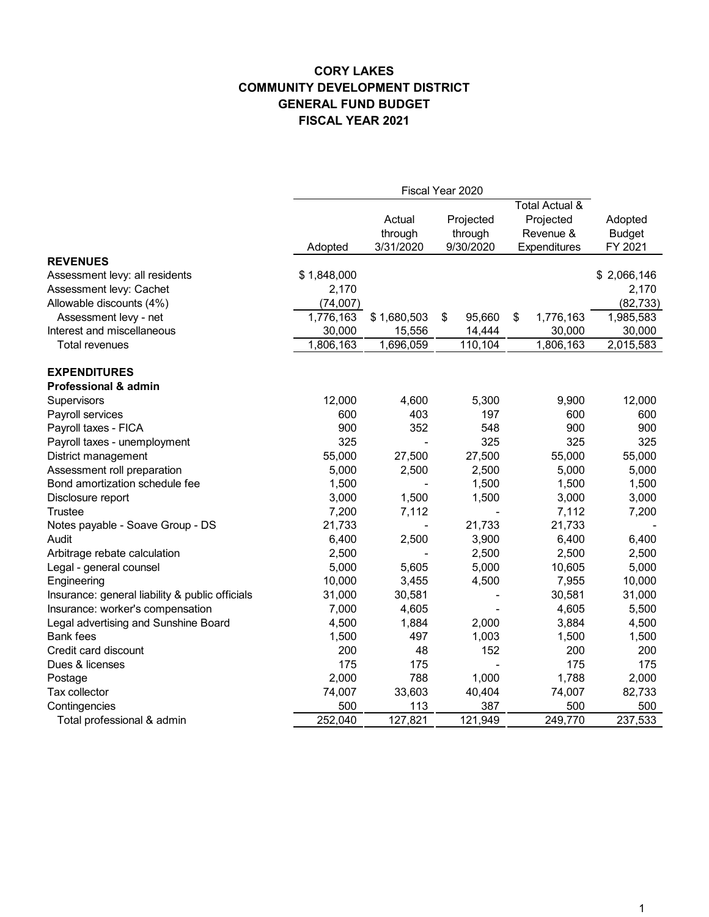|                                                 | Fiscal Year 2020 |             |              |                 |               |
|-------------------------------------------------|------------------|-------------|--------------|-----------------|---------------|
|                                                 |                  |             |              | Total Actual &  |               |
|                                                 |                  | Actual      | Projected    | Projected       | Adopted       |
|                                                 |                  | through     | through      | Revenue &       | <b>Budget</b> |
|                                                 | Adopted          | 3/31/2020   | 9/30/2020    | Expenditures    | FY 2021       |
| <b>REVENUES</b>                                 |                  |             |              |                 |               |
| Assessment levy: all residents                  | \$1,848,000      |             |              |                 | \$2,066,146   |
| Assessment levy: Cachet                         | 2,170            |             |              |                 | 2,170         |
| Allowable discounts (4%)                        | (74,007)         |             |              |                 | (82, 733)     |
| Assessment levy - net                           | 1,776,163        | \$1,680,503 | \$<br>95,660 | 1,776,163<br>\$ | 1,985,583     |
| Interest and miscellaneous                      | 30,000           | 15,556      | 14,444       | 30,000          | 30,000        |
| <b>Total revenues</b>                           | 1,806,163        | 1,696,059   | 110,104      | 1,806,163       | 2,015,583     |
| <b>EXPENDITURES</b>                             |                  |             |              |                 |               |
| <b>Professional &amp; admin</b>                 |                  |             |              |                 |               |
| Supervisors                                     | 12,000           | 4,600       | 5,300        | 9,900           | 12,000        |
| Payroll services                                | 600              | 403         | 197          | 600             | 600           |
| Payroll taxes - FICA                            | 900              | 352         | 548          | 900             | 900           |
| Payroll taxes - unemployment                    | 325              |             | 325          | 325             | 325           |
| District management                             | 55,000           | 27,500      | 27,500       | 55,000          | 55,000        |
| Assessment roll preparation                     | 5,000            | 2,500       | 2,500        | 5,000           | 5,000         |
| Bond amortization schedule fee                  | 1,500            |             | 1,500        | 1,500           | 1,500         |
| Disclosure report                               | 3,000            | 1,500       | 1,500        | 3,000           | 3,000         |
| <b>Trustee</b>                                  | 7,200            | 7,112       |              | 7,112           | 7,200         |
| Notes payable - Soave Group - DS                | 21,733           |             | 21,733       | 21,733          |               |
| Audit                                           | 6,400            | 2,500       | 3,900        | 6,400           | 6,400         |
| Arbitrage rebate calculation                    | 2,500            |             | 2,500        | 2,500           | 2,500         |
| Legal - general counsel                         | 5,000            | 5,605       | 5,000        | 10,605          | 5,000         |
| Engineering                                     | 10,000           | 3,455       | 4,500        | 7,955           | 10,000        |
| Insurance: general liability & public officials | 31,000           | 30,581      |              | 30,581          | 31,000        |
| Insurance: worker's compensation                | 7,000            | 4,605       |              | 4,605           | 5,500         |
| Legal advertising and Sunshine Board            | 4,500            | 1,884       | 2,000        | 3,884           | 4,500         |
| <b>Bank</b> fees                                | 1,500            | 497         | 1,003        | 1,500           | 1,500         |
| Credit card discount                            | 200              | 48          | 152          | 200             | 200           |
| Dues & licenses                                 | 175              | 175         |              | 175             | 175           |
| Postage                                         | 2,000            | 788         | 1,000        | 1,788           | 2,000         |
| Tax collector                                   | 74,007           | 33,603      | 40,404       | 74,007          | 82,733        |
| Contingencies                                   | 500              | 113         | 387          | 500             | 500           |
| Total professional & admin                      | 252,040          | 127,821     | 121,949      | 249,770         | 237,533       |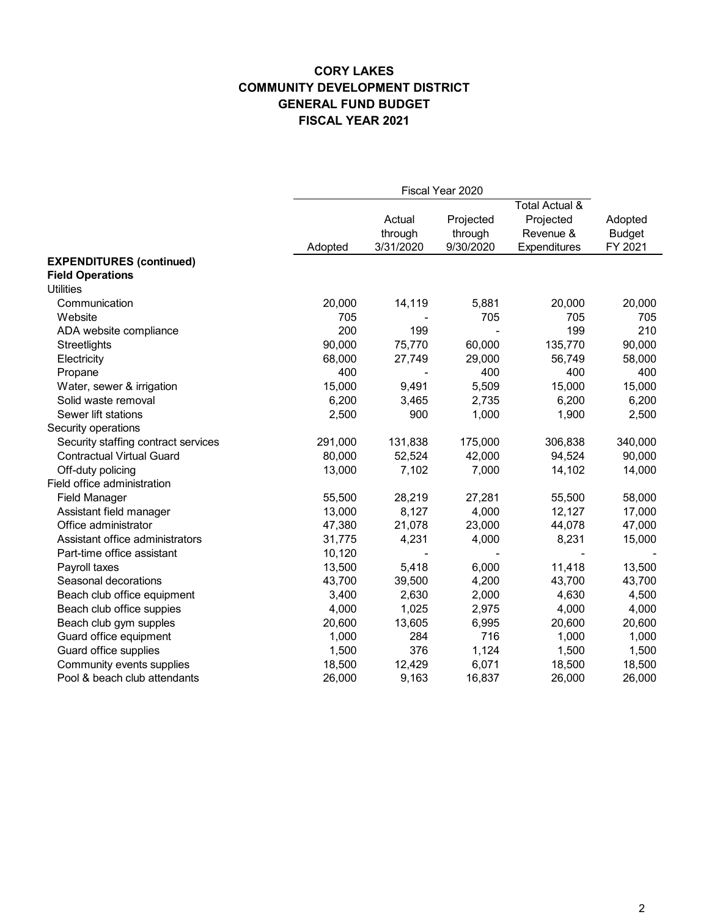|                                     |         | Fiscal Year 2020 |           |                |               |
|-------------------------------------|---------|------------------|-----------|----------------|---------------|
|                                     |         |                  |           | Total Actual & |               |
|                                     |         | Actual           | Projected | Projected      | Adopted       |
|                                     |         | through          | through   | Revenue &      | <b>Budget</b> |
|                                     | Adopted | 3/31/2020        | 9/30/2020 | Expenditures   | FY 2021       |
| <b>EXPENDITURES (continued)</b>     |         |                  |           |                |               |
| <b>Field Operations</b>             |         |                  |           |                |               |
| <b>Utilities</b>                    |         |                  |           |                |               |
| Communication                       | 20,000  | 14,119           | 5,881     | 20,000         | 20,000        |
| Website                             | 705     |                  | 705       | 705            | 705           |
| ADA website compliance              | 200     | 199              |           | 199            | 210           |
| Streetlights                        | 90,000  | 75,770           | 60,000    | 135,770        | 90,000        |
| Electricity                         | 68,000  | 27,749           | 29,000    | 56,749         | 58,000        |
| Propane                             | 400     |                  | 400       | 400            | 400           |
| Water, sewer & irrigation           | 15,000  | 9,491            | 5,509     | 15,000         | 15,000        |
| Solid waste removal                 | 6,200   | 3,465            | 2,735     | 6,200          | 6,200         |
| Sewer lift stations                 | 2,500   | 900              | 1,000     | 1,900          | 2,500         |
| Security operations                 |         |                  |           |                |               |
| Security staffing contract services | 291,000 | 131,838          | 175,000   | 306,838        | 340,000       |
| <b>Contractual Virtual Guard</b>    | 80,000  | 52,524           | 42,000    | 94,524         | 90,000        |
| Off-duty policing                   | 13,000  | 7,102            | 7,000     | 14,102         | 14,000        |
| Field office administration         |         |                  |           |                |               |
| <b>Field Manager</b>                | 55,500  | 28,219           | 27,281    | 55,500         | 58,000        |
| Assistant field manager             | 13,000  | 8,127            | 4,000     | 12,127         | 17,000        |
| Office administrator                | 47,380  | 21,078           | 23,000    | 44,078         | 47,000        |
| Assistant office administrators     | 31,775  | 4,231            | 4,000     | 8,231          | 15,000        |
| Part-time office assistant          | 10,120  |                  |           |                |               |
| Payroll taxes                       | 13,500  | 5,418            | 6,000     | 11,418         | 13,500        |
| Seasonal decorations                | 43,700  | 39,500           | 4,200     | 43,700         | 43,700        |
| Beach club office equipment         | 3,400   | 2,630            | 2,000     | 4,630          | 4,500         |
| Beach club office suppies           | 4,000   | 1,025            | 2,975     | 4,000          | 4,000         |
| Beach club gym supples              | 20,600  | 13,605           | 6,995     | 20,600         | 20,600        |
| Guard office equipment              | 1,000   | 284              | 716       | 1,000          | 1,000         |
| Guard office supplies               | 1,500   | 376              | 1,124     | 1,500          | 1,500         |
| Community events supplies           | 18,500  | 12,429           | 6,071     | 18,500         | 18,500        |
| Pool & beach club attendants        | 26,000  | 9,163            | 16,837    | 26,000         | 26,000        |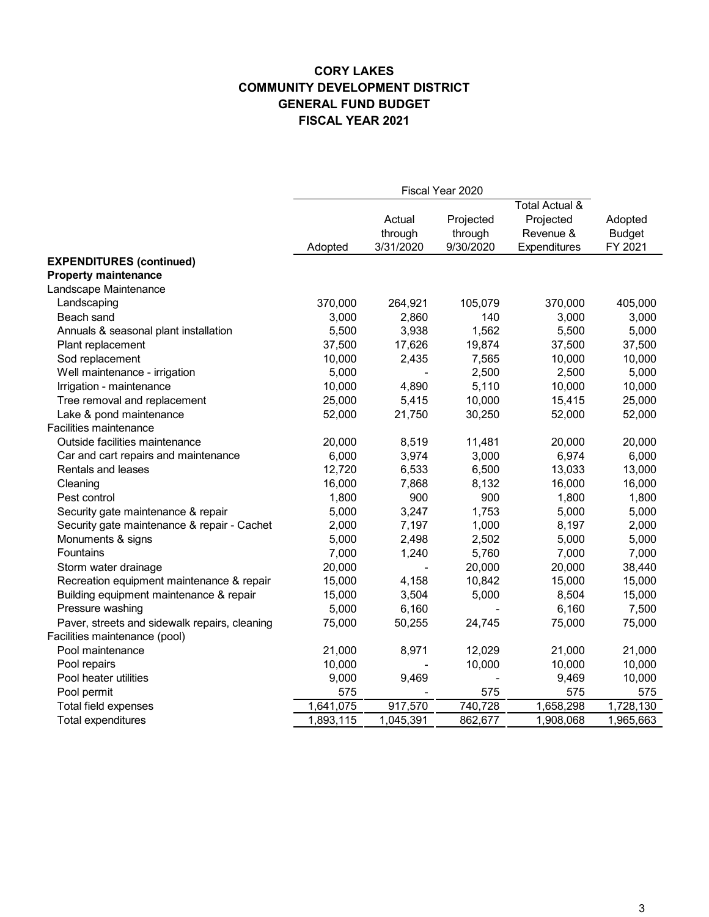|                                               | Fiscal Year 2020 |           |           |                           |               |
|-----------------------------------------------|------------------|-----------|-----------|---------------------------|---------------|
|                                               |                  |           |           | <b>Total Actual &amp;</b> |               |
|                                               |                  | Actual    | Projected | Projected                 | Adopted       |
|                                               |                  | through   | through   | Revenue &                 | <b>Budget</b> |
|                                               | Adopted          | 3/31/2020 | 9/30/2020 | Expenditures              | FY 2021       |
| <b>EXPENDITURES (continued)</b>               |                  |           |           |                           |               |
| <b>Property maintenance</b>                   |                  |           |           |                           |               |
| Landscape Maintenance                         |                  |           |           |                           |               |
| Landscaping                                   | 370,000          | 264,921   | 105,079   | 370,000                   | 405,000       |
| Beach sand                                    | 3,000            | 2,860     | 140       | 3,000                     | 3,000         |
| Annuals & seasonal plant installation         | 5,500            | 3,938     | 1,562     | 5,500                     | 5,000         |
| Plant replacement                             | 37,500           | 17,626    | 19,874    | 37,500                    | 37,500        |
| Sod replacement                               | 10,000           | 2,435     | 7,565     | 10,000                    | 10,000        |
| Well maintenance - irrigation                 | 5,000            |           | 2,500     | 2,500                     | 5,000         |
| Irrigation - maintenance                      | 10,000           | 4,890     | 5,110     | 10,000                    | 10,000        |
| Tree removal and replacement                  | 25,000           | 5,415     | 10,000    | 15,415                    | 25,000        |
| Lake & pond maintenance                       | 52,000           | 21,750    | 30,250    | 52,000                    | 52,000        |
| <b>Facilities maintenance</b>                 |                  |           |           |                           |               |
| Outside facilities maintenance                | 20,000           | 8,519     | 11,481    | 20,000                    | 20,000        |
| Car and cart repairs and maintenance          | 6,000            | 3,974     | 3,000     | 6,974                     | 6,000         |
| Rentals and leases                            | 12,720           | 6,533     | 6,500     | 13,033                    | 13,000        |
| Cleaning                                      | 16,000           | 7,868     | 8,132     | 16,000                    | 16,000        |
| Pest control                                  | 1,800            | 900       | 900       | 1,800                     | 1,800         |
| Security gate maintenance & repair            | 5,000            | 3,247     | 1,753     | 5,000                     | 5,000         |
| Security gate maintenance & repair - Cachet   | 2,000            | 7,197     | 1,000     | 8,197                     | 2,000         |
| Monuments & signs                             | 5,000            | 2,498     | 2,502     | 5,000                     | 5,000         |
| Fountains                                     | 7,000            | 1,240     | 5,760     | 7,000                     | 7,000         |
| Storm water drainage                          | 20,000           |           | 20,000    | 20,000                    | 38,440        |
| Recreation equipment maintenance & repair     | 15,000           | 4,158     | 10,842    | 15,000                    | 15,000        |
| Building equipment maintenance & repair       | 15,000           | 3,504     | 5,000     | 8,504                     | 15,000        |
| Pressure washing                              | 5,000            | 6,160     |           | 6,160                     | 7,500         |
| Paver, streets and sidewalk repairs, cleaning | 75,000           | 50,255    | 24,745    | 75,000                    | 75,000        |
| Facilities maintenance (pool)                 |                  |           |           |                           |               |
| Pool maintenance                              | 21,000           | 8,971     | 12,029    | 21,000                    | 21,000        |
| Pool repairs                                  | 10,000           |           | 10,000    | 10,000                    | 10,000        |
| Pool heater utilities                         | 9,000            | 9,469     |           | 9,469                     | 10,000        |
| Pool permit                                   | 575              |           | 575       | 575                       | 575           |
| Total field expenses                          | 1,641,075        | 917,570   | 740,728   | 1,658,298                 | 1,728,130     |
| Total expenditures                            | 1,893,115        | 1,045,391 | 862,677   | 1,908,068                 | 1,965,663     |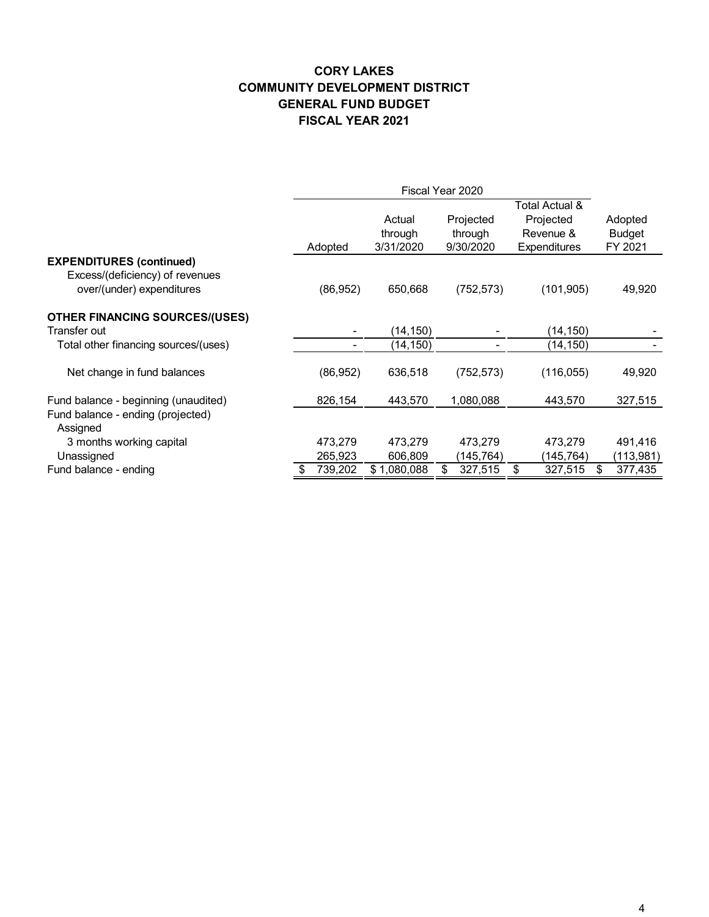|                                                                                                 | Fiscal Year 2020 |           |                                |                                   |                                                          |                                     |
|-------------------------------------------------------------------------------------------------|------------------|-----------|--------------------------------|-----------------------------------|----------------------------------------------------------|-------------------------------------|
|                                                                                                 |                  | Adopted   | Actual<br>through<br>3/31/2020 | Projected<br>through<br>9/30/2020 | Total Actual &<br>Projected<br>Revenue &<br>Expenditures | Adopted<br><b>Budget</b><br>FY 2021 |
| <b>EXPENDITURES (continued)</b><br>Excess/(deficiency) of revenues<br>over/(under) expenditures |                  | (86, 952) | 650,668                        | (752, 573)                        | (101, 905)                                               | 49,920                              |
| <b>OTHER FINANCING SOURCES/(USES)</b><br>Transfer out                                           |                  |           | (14, 150)                      |                                   | (14,150)                                                 |                                     |
| Total other financing sources/(uses)                                                            |                  |           | (14, 150)                      |                                   | (14, 150)                                                |                                     |
| Net change in fund balances                                                                     |                  | (86, 952) | 636,518                        | (752, 573)                        | (116, 055)                                               | 49,920                              |
| Fund balance - beginning (unaudited)                                                            |                  | 826,154   | 443,570                        | 1,080,088                         | 443,570                                                  | 327,515                             |
| Fund balance - ending (projected)<br>Assigned                                                   |                  |           |                                |                                   |                                                          |                                     |
| 3 months working capital                                                                        |                  | 473,279   | 473,279                        | 473,279                           | 473,279                                                  | 491,416                             |
| Unassigned                                                                                      |                  | 265,923   | 606,809                        | (145, 764)                        | (145, 764)                                               | (113,981)                           |
| Fund balance - ending                                                                           |                  | 739,202   | \$1,080,088                    | 327,515<br>\$                     | 327,515<br>\$                                            | 377,435<br>\$                       |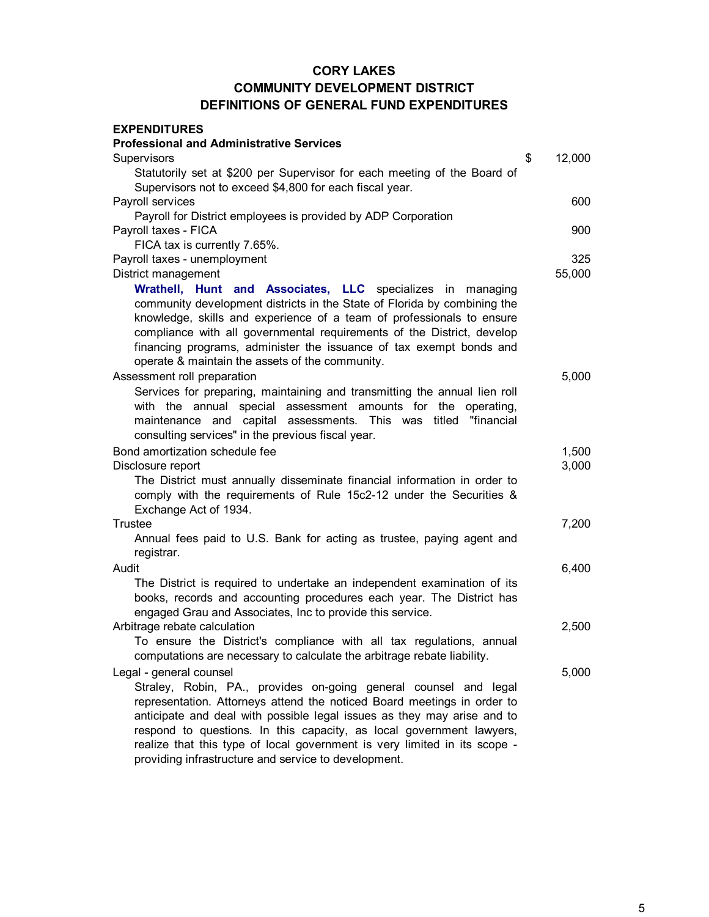| <b>EXPENDITURES</b>                                                                                                                                                                                                                                                                                                                                                                                                                 |              |
|-------------------------------------------------------------------------------------------------------------------------------------------------------------------------------------------------------------------------------------------------------------------------------------------------------------------------------------------------------------------------------------------------------------------------------------|--------------|
| <b>Professional and Administrative Services</b>                                                                                                                                                                                                                                                                                                                                                                                     |              |
| Supervisors                                                                                                                                                                                                                                                                                                                                                                                                                         | \$<br>12,000 |
| Statutorily set at \$200 per Supervisor for each meeting of the Board of                                                                                                                                                                                                                                                                                                                                                            |              |
| Supervisors not to exceed \$4,800 for each fiscal year.                                                                                                                                                                                                                                                                                                                                                                             |              |
| Payroll services                                                                                                                                                                                                                                                                                                                                                                                                                    | 600          |
| Payroll for District employees is provided by ADP Corporation                                                                                                                                                                                                                                                                                                                                                                       |              |
| Payroll taxes - FICA                                                                                                                                                                                                                                                                                                                                                                                                                | 900          |
| FICA tax is currently 7.65%.                                                                                                                                                                                                                                                                                                                                                                                                        |              |
| Payroll taxes - unemployment                                                                                                                                                                                                                                                                                                                                                                                                        | 325          |
| District management                                                                                                                                                                                                                                                                                                                                                                                                                 | 55,000       |
| Wrathell, Hunt and Associates, LLC specializes in managing<br>community development districts in the State of Florida by combining the<br>knowledge, skills and experience of a team of professionals to ensure<br>compliance with all governmental requirements of the District, develop<br>financing programs, administer the issuance of tax exempt bonds and<br>operate & maintain the assets of the community.                 |              |
| Assessment roll preparation                                                                                                                                                                                                                                                                                                                                                                                                         | 5,000        |
| Services for preparing, maintaining and transmitting the annual lien roll<br>with the annual special assessment amounts for the operating,<br>maintenance and capital assessments. This was titled "financial<br>consulting services" in the previous fiscal year.                                                                                                                                                                  |              |
| Bond amortization schedule fee                                                                                                                                                                                                                                                                                                                                                                                                      | 1,500        |
| Disclosure report                                                                                                                                                                                                                                                                                                                                                                                                                   | 3,000        |
| The District must annually disseminate financial information in order to<br>comply with the requirements of Rule 15c2-12 under the Securities &<br>Exchange Act of 1934.                                                                                                                                                                                                                                                            |              |
| Trustee                                                                                                                                                                                                                                                                                                                                                                                                                             | 7,200        |
| Annual fees paid to U.S. Bank for acting as trustee, paying agent and<br>registrar.                                                                                                                                                                                                                                                                                                                                                 |              |
| Audit                                                                                                                                                                                                                                                                                                                                                                                                                               | 6,400        |
| The District is required to undertake an independent examination of its<br>books, records and accounting procedures each year. The District has<br>engaged Grau and Associates, Inc to provide this service.                                                                                                                                                                                                                        |              |
| Arbitrage rebate calculation                                                                                                                                                                                                                                                                                                                                                                                                        | 2,500        |
| To ensure the District's compliance with all tax regulations, annual<br>computations are necessary to calculate the arbitrage rebate liability.                                                                                                                                                                                                                                                                                     |              |
| Legal - general counsel                                                                                                                                                                                                                                                                                                                                                                                                             | 5,000        |
| Straley, Robin, PA., provides on-going general counsel and legal<br>representation. Attorneys attend the noticed Board meetings in order to<br>anticipate and deal with possible legal issues as they may arise and to<br>respond to questions. In this capacity, as local government lawyers,<br>realize that this type of local government is very limited in its scope -<br>providing infrastructure and service to development. |              |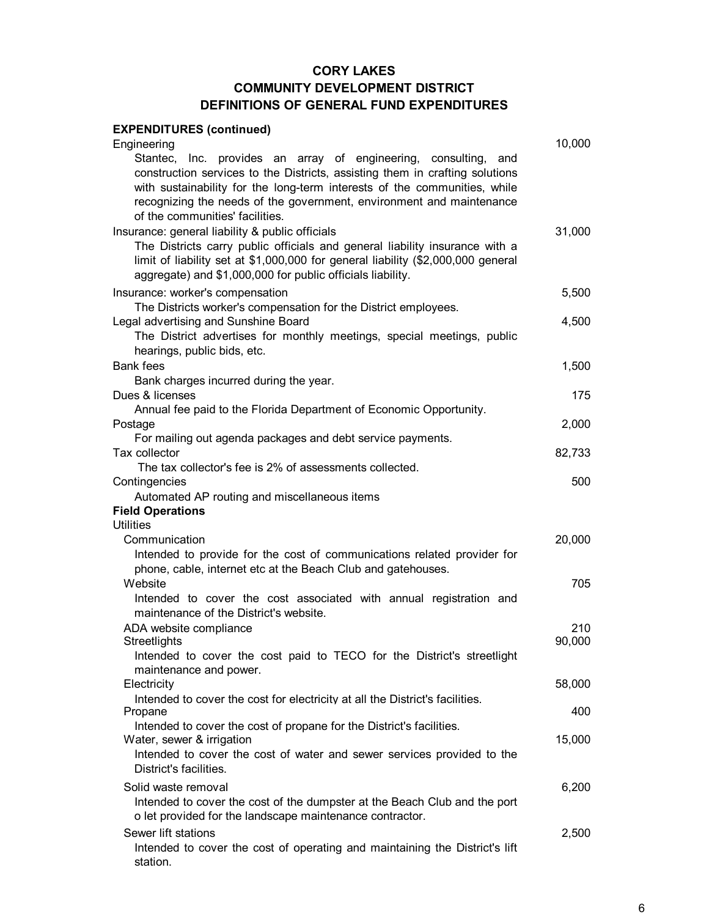#### **EXPENDITURES (continued)** 10,000 Stantec, Inc. provides an array of engineering, consulting, and construction services to the Districts, assisting them in crafting solutions with sustainability for the long-term interests of the communities, while recognizing the needs of the government, environment and maintenance of the communities' facilities. Insurance: general liability & public officials 31,000 Services 31,000 The Districts carry public officials and general liability insurance with a limit of liability set at \$1,000,000 for general liability (\$2,000,000 general aggregate) and \$1,000,000 for public officials liability. Insurance: worker's compensation 5,500 The Districts worker's compensation for the District employees. Legal advertising and Sunshine Board 4,500 Bank fees 1,500 Dues & licenses 175 Postage 2,000 For mailing out agenda packages and debt service payments. Tax collector 82,733 Contingencies 500 Automated AP routing and miscellaneous items **Field Operations Utilities** Communication 20,000 Intended to provide for the cost of communications related provider for phone, cable, internet etc at the Beach Club and gatehouses. website the contract of the contract of the contract of the contract of the contract of the contract of the contract of the contract of the contract of the contract of the contract of the contract of the contract of the co Intended to cover the cost associated with annual registration and maintenance of the District's website. ADA website compliance **210** Streetlights 90,000 Intended to cover the cost paid to TECO for the District's streetlight maintenance and power. Electricity 58,000 Intended to cover the cost for electricity at all the District's facilities. Propane 400 Intended to cover the cost of propane for the District's facilities. Water, sewer & irrigation 15,000 and the set of the set of the set of the set of the set of the set of the set of the set of the set of the set of the set of the set of the set of the set of the set of the set of the set o Intended to cover the cost of water and sewer services provided to the District's facilities. Solid waste removal 6,200 Intended to cover the cost of the dumpster at the Beach Club and the port o let provided for the landscape maintenance contractor. Sewer lift stations 2,500 Intended to cover the cost of operating and maintaining the District's lift Engineering Bank charges incurred during the year. Annual fee paid to the Florida Department of Economic Opportunity. The tax collector's fee is 2% of assessments collected. The District advertises for monthly meetings, special meetings, public hearings, public bids, etc.

station.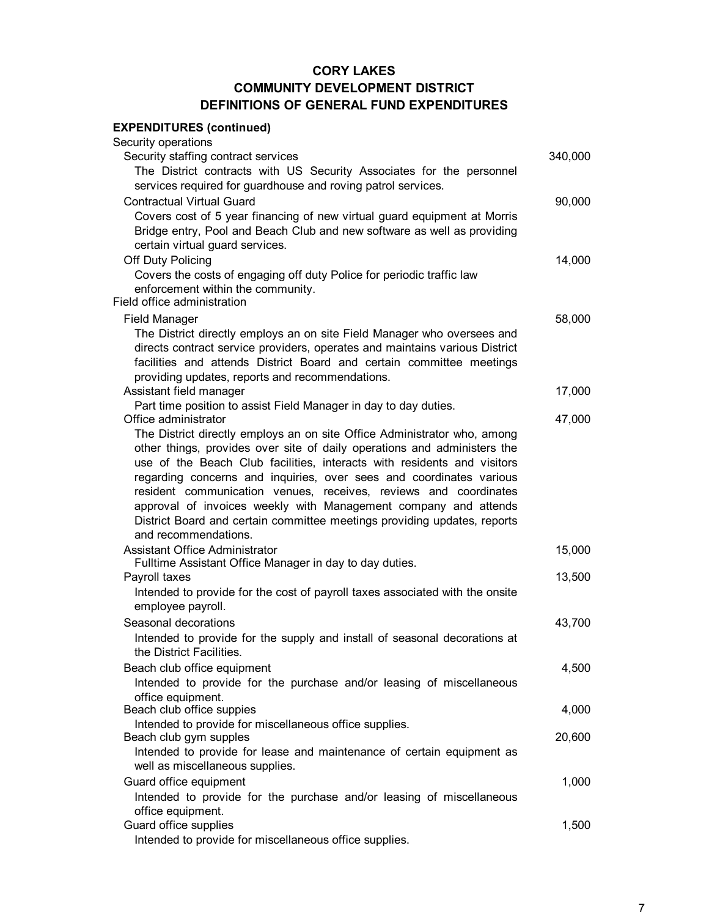#### **EXPENDITURES (continued)** Security operations Security staffing contract services 340,000 The District contracts with US Security Associates for the personnel services required for guardhouse and roving patrol services. Contractual Virtual Guard 90,000 Covers cost of 5 year financing of new virtual guard equipment at Morris Bridge entry, Pool and Beach Club and new software as well as providing certain virtual guard services. Off Duty Policing 14,000 Field office administration Field Manager 58,000 The District directly employs an on site Field Manager who oversees and directs contract service providers, operates and maintains various District facilities and attends District Board and certain committee meetings providing updates, reports and recommendations. Assistant field manager 17,000 and 17,000 and 17,000 and 17,000 and 17,000 and 17,000 and 17,000 and 17,000 and 17,000 and 17,000 and 17,000 and 17,000 and 17,000 and 17,000 and 17,000 and 17,000 and 17,000 and 17,000 and Part time position to assist Field Manager in day to day duties. Office administrator 47,000 The District directly employs an on site Office Administrator who, among other things, provides over site of daily operations and administers the use of the Beach Club facilities, interacts with residents and visitors regarding concerns and inquiries, over sees and coordinates various resident communication venues, receives, reviews and coordinates approval of invoices weekly with Management company and attends District Board and certain committee meetings providing updates, reports and recommendations. Assistant Office Administrator 15,000 Fulltime Assistant Office Manager in day to day duties. Payroll taxes 2008 13,500 and the contract of the contract of the contract of the contract of the contract of the contract of the contract of the contract of the contract of the contract of the contract of the contract of Intended to provide for the cost of payroll taxes associated with the onsite employee payroll. Seasonal decorations 43,700 Intended to provide for the supply and install of seasonal decorations at the District Facilities. Beach club office equipment 4,500 Intended to provide for the purchase and/or leasing of miscellaneous office equipment. Beach club office suppies 4,000 and the set of the set of the set of the set of the set of the set of the set of the set of the set of the set of the set of the set of the set of the set of the set of the set of the set of Intended to provide for miscellaneous office supplies. Beach club gym supples 20,600 and the control of the control of the control of the control of the control of the control of the control of the control of the control of the control of the control of the control of the cont Intended to provide for lease and maintenance of certain equipment as well as miscellaneous supplies. Guard office equipment **1,000** Intended to provide for the purchase and/or leasing of miscellaneous Covers the costs of engaging off duty Police for periodic traffic law enforcement within the community.

office equipment. Guard office supplies **1,500** Intended to provide for miscellaneous office supplies.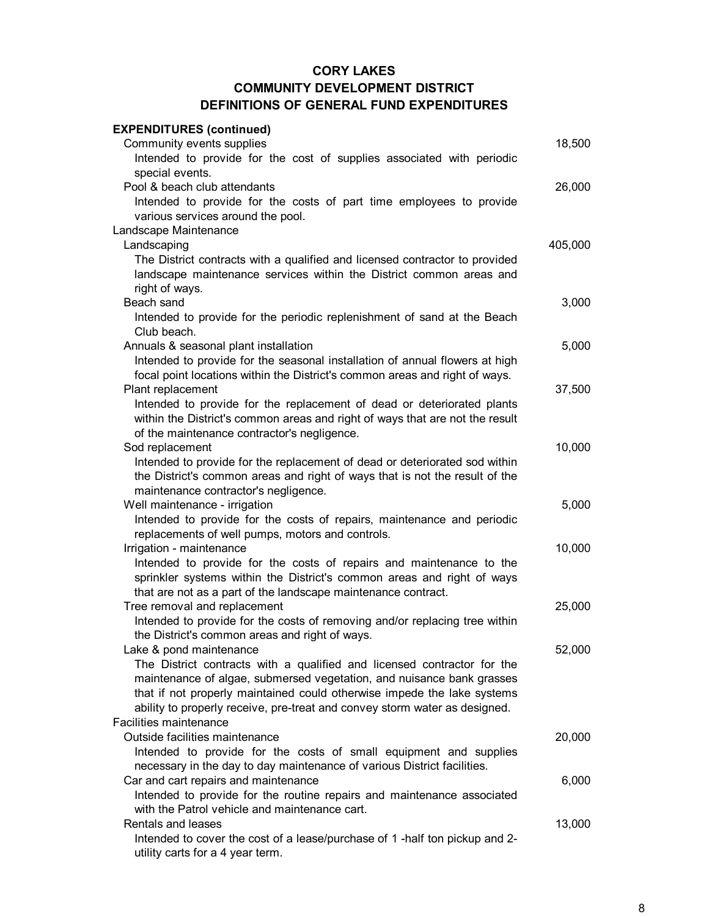| <b>EXPENDITURES (continued)</b>                                              |         |
|------------------------------------------------------------------------------|---------|
| Community events supplies                                                    | 18,500  |
| Intended to provide for the cost of supplies associated with periodic        |         |
| special events.                                                              |         |
| Pool & beach club attendants                                                 | 26,000  |
| Intended to provide for the costs of part time employees to provide          |         |
| various services around the pool.                                            |         |
| Landscape Maintenance                                                        |         |
| Landscaping                                                                  | 405,000 |
| The District contracts with a qualified and licensed contractor to provided  |         |
| landscape maintenance services within the District common areas and          |         |
| right of ways.                                                               |         |
| Beach sand                                                                   | 3,000   |
| Intended to provide for the periodic replenishment of sand at the Beach      |         |
| Club beach.                                                                  |         |
| Annuals & seasonal plant installation                                        | 5,000   |
| Intended to provide for the seasonal installation of annual flowers at high  |         |
| focal point locations within the District's common areas and right of ways.  |         |
| Plant replacement                                                            | 37,500  |
| Intended to provide for the replacement of dead or deteriorated plants       |         |
| within the District's common areas and right of ways that are not the result |         |
| of the maintenance contractor's negligence.                                  |         |
| Sod replacement                                                              | 10,000  |
| Intended to provide for the replacement of dead or deteriorated sod within   |         |
| the District's common areas and right of ways that is not the result of the  |         |
| maintenance contractor's negligence.                                         |         |
| Well maintenance - irrigation                                                | 5,000   |
| Intended to provide for the costs of repairs, maintenance and periodic       |         |
| replacements of well pumps, motors and controls.                             |         |
| Irrigation - maintenance                                                     | 10,000  |
| Intended to provide for the costs of repairs and maintenance to the          |         |
| sprinkler systems within the District's common areas and right of ways       |         |
| that are not as a part of the landscape maintenance contract.                |         |
| Tree removal and replacement                                                 | 25,000  |
| Intended to provide for the costs of removing and/or replacing tree within   |         |
| the District's common areas and right of ways.                               |         |
| Lake & pond maintenance                                                      | 52,000  |
| The District contracts with a qualified and licensed contractor for the      |         |
| maintenance of algae, submersed vegetation, and nuisance bank grasses        |         |
| that if not properly maintained could otherwise impede the lake systems      |         |
| ability to properly receive, pre-treat and convey storm water as designed.   |         |
| Facilities maintenance                                                       |         |
| Outside facilities maintenance                                               | 20,000  |
| Intended to provide for the costs of small equipment and supplies            |         |
| necessary in the day to day maintenance of various District facilities.      |         |
| Car and cart repairs and maintenance                                         | 6,000   |
| Intended to provide for the routine repairs and maintenance associated       |         |
| with the Patrol vehicle and maintenance cart.                                |         |
| Rentals and leases                                                           | 13,000  |
| Intended to cover the cost of a lease/purchase of 1 -half ton pickup and 2-  |         |
| utility carts for a 4 year term.                                             |         |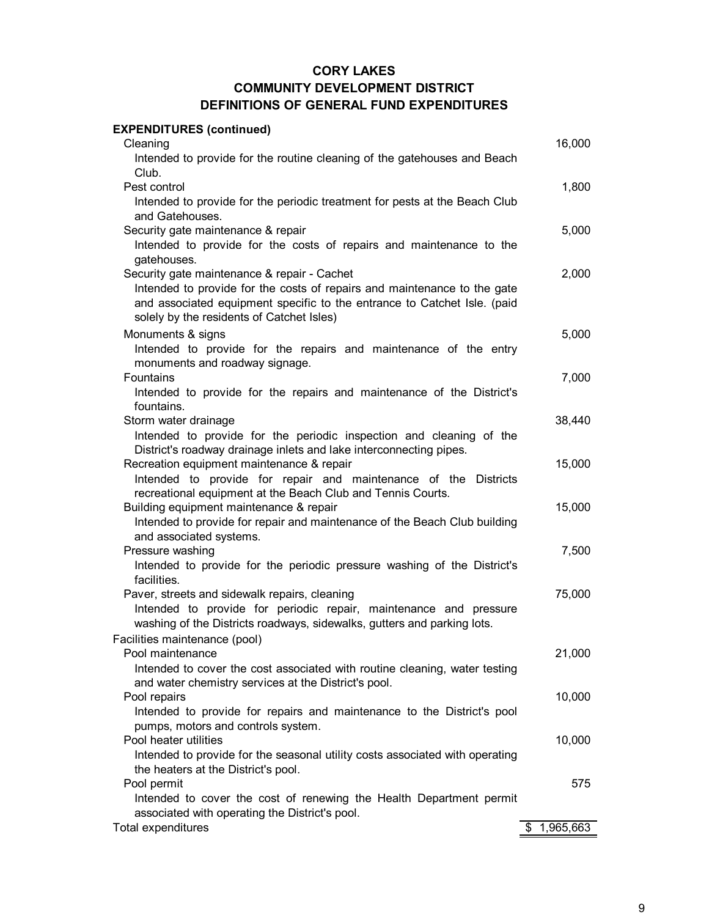| Cleaning<br>16,000<br>Intended to provide for the routine cleaning of the gatehouses and Beach<br>Club.<br>1,800<br>Pest control<br>Intended to provide for the periodic treatment for pests at the Beach Club<br>and Gatehouses.<br>Security gate maintenance & repair<br>5,000<br>Intended to provide for the costs of repairs and maintenance to the<br>gatehouses.<br>2,000<br>Security gate maintenance & repair - Cachet<br>Intended to provide for the costs of repairs and maintenance to the gate<br>and associated equipment specific to the entrance to Catchet Isle. (paid<br>solely by the residents of Catchet Isles)<br>Monuments & signs<br>5,000<br>Intended to provide for the repairs and maintenance of the entry<br>monuments and roadway signage.<br>Fountains<br>7,000<br>Intended to provide for the repairs and maintenance of the District's<br>fountains.<br>38,440<br>Storm water drainage<br>Intended to provide for the periodic inspection and cleaning of the<br>District's roadway drainage inlets and lake interconnecting pipes.<br>Recreation equipment maintenance & repair<br>15,000<br>Intended to provide for repair and maintenance of the Districts<br>recreational equipment at the Beach Club and Tennis Courts.<br>15,000<br>Building equipment maintenance & repair<br>Intended to provide for repair and maintenance of the Beach Club building<br>and associated systems.<br>7,500<br>Pressure washing<br>Intended to provide for the periodic pressure washing of the District's<br>facilities.<br>Paver, streets and sidewalk repairs, cleaning<br>75,000<br>Intended to provide for periodic repair, maintenance and pressure<br>washing of the Districts roadways, sidewalks, gutters and parking lots.<br>Facilities maintenance (pool)<br>Pool maintenance<br>21,000<br>Intended to cover the cost associated with routine cleaning, water testing<br>and water chemistry services at the District's pool.<br>10,000<br>Pool repairs<br>Intended to provide for repairs and maintenance to the District's pool<br>pumps, motors and controls system.<br>Pool heater utilities<br>10,000 | <b>EXPENDITURES (continued)</b> |  |
|-----------------------------------------------------------------------------------------------------------------------------------------------------------------------------------------------------------------------------------------------------------------------------------------------------------------------------------------------------------------------------------------------------------------------------------------------------------------------------------------------------------------------------------------------------------------------------------------------------------------------------------------------------------------------------------------------------------------------------------------------------------------------------------------------------------------------------------------------------------------------------------------------------------------------------------------------------------------------------------------------------------------------------------------------------------------------------------------------------------------------------------------------------------------------------------------------------------------------------------------------------------------------------------------------------------------------------------------------------------------------------------------------------------------------------------------------------------------------------------------------------------------------------------------------------------------------------------------------------------------------------------------------------------------------------------------------------------------------------------------------------------------------------------------------------------------------------------------------------------------------------------------------------------------------------------------------------------------------------------------------------------------------------------------------------------------------------------------------------------------------------------------------|---------------------------------|--|
|                                                                                                                                                                                                                                                                                                                                                                                                                                                                                                                                                                                                                                                                                                                                                                                                                                                                                                                                                                                                                                                                                                                                                                                                                                                                                                                                                                                                                                                                                                                                                                                                                                                                                                                                                                                                                                                                                                                                                                                                                                                                                                                                               |                                 |  |
|                                                                                                                                                                                                                                                                                                                                                                                                                                                                                                                                                                                                                                                                                                                                                                                                                                                                                                                                                                                                                                                                                                                                                                                                                                                                                                                                                                                                                                                                                                                                                                                                                                                                                                                                                                                                                                                                                                                                                                                                                                                                                                                                               |                                 |  |
|                                                                                                                                                                                                                                                                                                                                                                                                                                                                                                                                                                                                                                                                                                                                                                                                                                                                                                                                                                                                                                                                                                                                                                                                                                                                                                                                                                                                                                                                                                                                                                                                                                                                                                                                                                                                                                                                                                                                                                                                                                                                                                                                               |                                 |  |
|                                                                                                                                                                                                                                                                                                                                                                                                                                                                                                                                                                                                                                                                                                                                                                                                                                                                                                                                                                                                                                                                                                                                                                                                                                                                                                                                                                                                                                                                                                                                                                                                                                                                                                                                                                                                                                                                                                                                                                                                                                                                                                                                               |                                 |  |
|                                                                                                                                                                                                                                                                                                                                                                                                                                                                                                                                                                                                                                                                                                                                                                                                                                                                                                                                                                                                                                                                                                                                                                                                                                                                                                                                                                                                                                                                                                                                                                                                                                                                                                                                                                                                                                                                                                                                                                                                                                                                                                                                               |                                 |  |
|                                                                                                                                                                                                                                                                                                                                                                                                                                                                                                                                                                                                                                                                                                                                                                                                                                                                                                                                                                                                                                                                                                                                                                                                                                                                                                                                                                                                                                                                                                                                                                                                                                                                                                                                                                                                                                                                                                                                                                                                                                                                                                                                               |                                 |  |
|                                                                                                                                                                                                                                                                                                                                                                                                                                                                                                                                                                                                                                                                                                                                                                                                                                                                                                                                                                                                                                                                                                                                                                                                                                                                                                                                                                                                                                                                                                                                                                                                                                                                                                                                                                                                                                                                                                                                                                                                                                                                                                                                               |                                 |  |
|                                                                                                                                                                                                                                                                                                                                                                                                                                                                                                                                                                                                                                                                                                                                                                                                                                                                                                                                                                                                                                                                                                                                                                                                                                                                                                                                                                                                                                                                                                                                                                                                                                                                                                                                                                                                                                                                                                                                                                                                                                                                                                                                               |                                 |  |
|                                                                                                                                                                                                                                                                                                                                                                                                                                                                                                                                                                                                                                                                                                                                                                                                                                                                                                                                                                                                                                                                                                                                                                                                                                                                                                                                                                                                                                                                                                                                                                                                                                                                                                                                                                                                                                                                                                                                                                                                                                                                                                                                               |                                 |  |
|                                                                                                                                                                                                                                                                                                                                                                                                                                                                                                                                                                                                                                                                                                                                                                                                                                                                                                                                                                                                                                                                                                                                                                                                                                                                                                                                                                                                                                                                                                                                                                                                                                                                                                                                                                                                                                                                                                                                                                                                                                                                                                                                               |                                 |  |
|                                                                                                                                                                                                                                                                                                                                                                                                                                                                                                                                                                                                                                                                                                                                                                                                                                                                                                                                                                                                                                                                                                                                                                                                                                                                                                                                                                                                                                                                                                                                                                                                                                                                                                                                                                                                                                                                                                                                                                                                                                                                                                                                               |                                 |  |
|                                                                                                                                                                                                                                                                                                                                                                                                                                                                                                                                                                                                                                                                                                                                                                                                                                                                                                                                                                                                                                                                                                                                                                                                                                                                                                                                                                                                                                                                                                                                                                                                                                                                                                                                                                                                                                                                                                                                                                                                                                                                                                                                               |                                 |  |
|                                                                                                                                                                                                                                                                                                                                                                                                                                                                                                                                                                                                                                                                                                                                                                                                                                                                                                                                                                                                                                                                                                                                                                                                                                                                                                                                                                                                                                                                                                                                                                                                                                                                                                                                                                                                                                                                                                                                                                                                                                                                                                                                               |                                 |  |
|                                                                                                                                                                                                                                                                                                                                                                                                                                                                                                                                                                                                                                                                                                                                                                                                                                                                                                                                                                                                                                                                                                                                                                                                                                                                                                                                                                                                                                                                                                                                                                                                                                                                                                                                                                                                                                                                                                                                                                                                                                                                                                                                               |                                 |  |
|                                                                                                                                                                                                                                                                                                                                                                                                                                                                                                                                                                                                                                                                                                                                                                                                                                                                                                                                                                                                                                                                                                                                                                                                                                                                                                                                                                                                                                                                                                                                                                                                                                                                                                                                                                                                                                                                                                                                                                                                                                                                                                                                               |                                 |  |
|                                                                                                                                                                                                                                                                                                                                                                                                                                                                                                                                                                                                                                                                                                                                                                                                                                                                                                                                                                                                                                                                                                                                                                                                                                                                                                                                                                                                                                                                                                                                                                                                                                                                                                                                                                                                                                                                                                                                                                                                                                                                                                                                               |                                 |  |
|                                                                                                                                                                                                                                                                                                                                                                                                                                                                                                                                                                                                                                                                                                                                                                                                                                                                                                                                                                                                                                                                                                                                                                                                                                                                                                                                                                                                                                                                                                                                                                                                                                                                                                                                                                                                                                                                                                                                                                                                                                                                                                                                               |                                 |  |
|                                                                                                                                                                                                                                                                                                                                                                                                                                                                                                                                                                                                                                                                                                                                                                                                                                                                                                                                                                                                                                                                                                                                                                                                                                                                                                                                                                                                                                                                                                                                                                                                                                                                                                                                                                                                                                                                                                                                                                                                                                                                                                                                               |                                 |  |
|                                                                                                                                                                                                                                                                                                                                                                                                                                                                                                                                                                                                                                                                                                                                                                                                                                                                                                                                                                                                                                                                                                                                                                                                                                                                                                                                                                                                                                                                                                                                                                                                                                                                                                                                                                                                                                                                                                                                                                                                                                                                                                                                               |                                 |  |
|                                                                                                                                                                                                                                                                                                                                                                                                                                                                                                                                                                                                                                                                                                                                                                                                                                                                                                                                                                                                                                                                                                                                                                                                                                                                                                                                                                                                                                                                                                                                                                                                                                                                                                                                                                                                                                                                                                                                                                                                                                                                                                                                               |                                 |  |
|                                                                                                                                                                                                                                                                                                                                                                                                                                                                                                                                                                                                                                                                                                                                                                                                                                                                                                                                                                                                                                                                                                                                                                                                                                                                                                                                                                                                                                                                                                                                                                                                                                                                                                                                                                                                                                                                                                                                                                                                                                                                                                                                               |                                 |  |
|                                                                                                                                                                                                                                                                                                                                                                                                                                                                                                                                                                                                                                                                                                                                                                                                                                                                                                                                                                                                                                                                                                                                                                                                                                                                                                                                                                                                                                                                                                                                                                                                                                                                                                                                                                                                                                                                                                                                                                                                                                                                                                                                               |                                 |  |
|                                                                                                                                                                                                                                                                                                                                                                                                                                                                                                                                                                                                                                                                                                                                                                                                                                                                                                                                                                                                                                                                                                                                                                                                                                                                                                                                                                                                                                                                                                                                                                                                                                                                                                                                                                                                                                                                                                                                                                                                                                                                                                                                               |                                 |  |
|                                                                                                                                                                                                                                                                                                                                                                                                                                                                                                                                                                                                                                                                                                                                                                                                                                                                                                                                                                                                                                                                                                                                                                                                                                                                                                                                                                                                                                                                                                                                                                                                                                                                                                                                                                                                                                                                                                                                                                                                                                                                                                                                               |                                 |  |
|                                                                                                                                                                                                                                                                                                                                                                                                                                                                                                                                                                                                                                                                                                                                                                                                                                                                                                                                                                                                                                                                                                                                                                                                                                                                                                                                                                                                                                                                                                                                                                                                                                                                                                                                                                                                                                                                                                                                                                                                                                                                                                                                               |                                 |  |
|                                                                                                                                                                                                                                                                                                                                                                                                                                                                                                                                                                                                                                                                                                                                                                                                                                                                                                                                                                                                                                                                                                                                                                                                                                                                                                                                                                                                                                                                                                                                                                                                                                                                                                                                                                                                                                                                                                                                                                                                                                                                                                                                               |                                 |  |
|                                                                                                                                                                                                                                                                                                                                                                                                                                                                                                                                                                                                                                                                                                                                                                                                                                                                                                                                                                                                                                                                                                                                                                                                                                                                                                                                                                                                                                                                                                                                                                                                                                                                                                                                                                                                                                                                                                                                                                                                                                                                                                                                               |                                 |  |
|                                                                                                                                                                                                                                                                                                                                                                                                                                                                                                                                                                                                                                                                                                                                                                                                                                                                                                                                                                                                                                                                                                                                                                                                                                                                                                                                                                                                                                                                                                                                                                                                                                                                                                                                                                                                                                                                                                                                                                                                                                                                                                                                               |                                 |  |
|                                                                                                                                                                                                                                                                                                                                                                                                                                                                                                                                                                                                                                                                                                                                                                                                                                                                                                                                                                                                                                                                                                                                                                                                                                                                                                                                                                                                                                                                                                                                                                                                                                                                                                                                                                                                                                                                                                                                                                                                                                                                                                                                               |                                 |  |
|                                                                                                                                                                                                                                                                                                                                                                                                                                                                                                                                                                                                                                                                                                                                                                                                                                                                                                                                                                                                                                                                                                                                                                                                                                                                                                                                                                                                                                                                                                                                                                                                                                                                                                                                                                                                                                                                                                                                                                                                                                                                                                                                               |                                 |  |
|                                                                                                                                                                                                                                                                                                                                                                                                                                                                                                                                                                                                                                                                                                                                                                                                                                                                                                                                                                                                                                                                                                                                                                                                                                                                                                                                                                                                                                                                                                                                                                                                                                                                                                                                                                                                                                                                                                                                                                                                                                                                                                                                               |                                 |  |
|                                                                                                                                                                                                                                                                                                                                                                                                                                                                                                                                                                                                                                                                                                                                                                                                                                                                                                                                                                                                                                                                                                                                                                                                                                                                                                                                                                                                                                                                                                                                                                                                                                                                                                                                                                                                                                                                                                                                                                                                                                                                                                                                               |                                 |  |
|                                                                                                                                                                                                                                                                                                                                                                                                                                                                                                                                                                                                                                                                                                                                                                                                                                                                                                                                                                                                                                                                                                                                                                                                                                                                                                                                                                                                                                                                                                                                                                                                                                                                                                                                                                                                                                                                                                                                                                                                                                                                                                                                               |                                 |  |
|                                                                                                                                                                                                                                                                                                                                                                                                                                                                                                                                                                                                                                                                                                                                                                                                                                                                                                                                                                                                                                                                                                                                                                                                                                                                                                                                                                                                                                                                                                                                                                                                                                                                                                                                                                                                                                                                                                                                                                                                                                                                                                                                               |                                 |  |
|                                                                                                                                                                                                                                                                                                                                                                                                                                                                                                                                                                                                                                                                                                                                                                                                                                                                                                                                                                                                                                                                                                                                                                                                                                                                                                                                                                                                                                                                                                                                                                                                                                                                                                                                                                                                                                                                                                                                                                                                                                                                                                                                               |                                 |  |
|                                                                                                                                                                                                                                                                                                                                                                                                                                                                                                                                                                                                                                                                                                                                                                                                                                                                                                                                                                                                                                                                                                                                                                                                                                                                                                                                                                                                                                                                                                                                                                                                                                                                                                                                                                                                                                                                                                                                                                                                                                                                                                                                               |                                 |  |
|                                                                                                                                                                                                                                                                                                                                                                                                                                                                                                                                                                                                                                                                                                                                                                                                                                                                                                                                                                                                                                                                                                                                                                                                                                                                                                                                                                                                                                                                                                                                                                                                                                                                                                                                                                                                                                                                                                                                                                                                                                                                                                                                               |                                 |  |
|                                                                                                                                                                                                                                                                                                                                                                                                                                                                                                                                                                                                                                                                                                                                                                                                                                                                                                                                                                                                                                                                                                                                                                                                                                                                                                                                                                                                                                                                                                                                                                                                                                                                                                                                                                                                                                                                                                                                                                                                                                                                                                                                               |                                 |  |
|                                                                                                                                                                                                                                                                                                                                                                                                                                                                                                                                                                                                                                                                                                                                                                                                                                                                                                                                                                                                                                                                                                                                                                                                                                                                                                                                                                                                                                                                                                                                                                                                                                                                                                                                                                                                                                                                                                                                                                                                                                                                                                                                               |                                 |  |
| Intended to provide for the seasonal utility costs associated with operating                                                                                                                                                                                                                                                                                                                                                                                                                                                                                                                                                                                                                                                                                                                                                                                                                                                                                                                                                                                                                                                                                                                                                                                                                                                                                                                                                                                                                                                                                                                                                                                                                                                                                                                                                                                                                                                                                                                                                                                                                                                                  |                                 |  |
| the heaters at the District's pool.<br>Pool permit                                                                                                                                                                                                                                                                                                                                                                                                                                                                                                                                                                                                                                                                                                                                                                                                                                                                                                                                                                                                                                                                                                                                                                                                                                                                                                                                                                                                                                                                                                                                                                                                                                                                                                                                                                                                                                                                                                                                                                                                                                                                                            |                                 |  |
| 575<br>Intended to cover the cost of renewing the Health Department permit                                                                                                                                                                                                                                                                                                                                                                                                                                                                                                                                                                                                                                                                                                                                                                                                                                                                                                                                                                                                                                                                                                                                                                                                                                                                                                                                                                                                                                                                                                                                                                                                                                                                                                                                                                                                                                                                                                                                                                                                                                                                    |                                 |  |
| associated with operating the District's pool.                                                                                                                                                                                                                                                                                                                                                                                                                                                                                                                                                                                                                                                                                                                                                                                                                                                                                                                                                                                                                                                                                                                                                                                                                                                                                                                                                                                                                                                                                                                                                                                                                                                                                                                                                                                                                                                                                                                                                                                                                                                                                                |                                 |  |
| 1,965,663<br>\$.                                                                                                                                                                                                                                                                                                                                                                                                                                                                                                                                                                                                                                                                                                                                                                                                                                                                                                                                                                                                                                                                                                                                                                                                                                                                                                                                                                                                                                                                                                                                                                                                                                                                                                                                                                                                                                                                                                                                                                                                                                                                                                                              | Total expenditures              |  |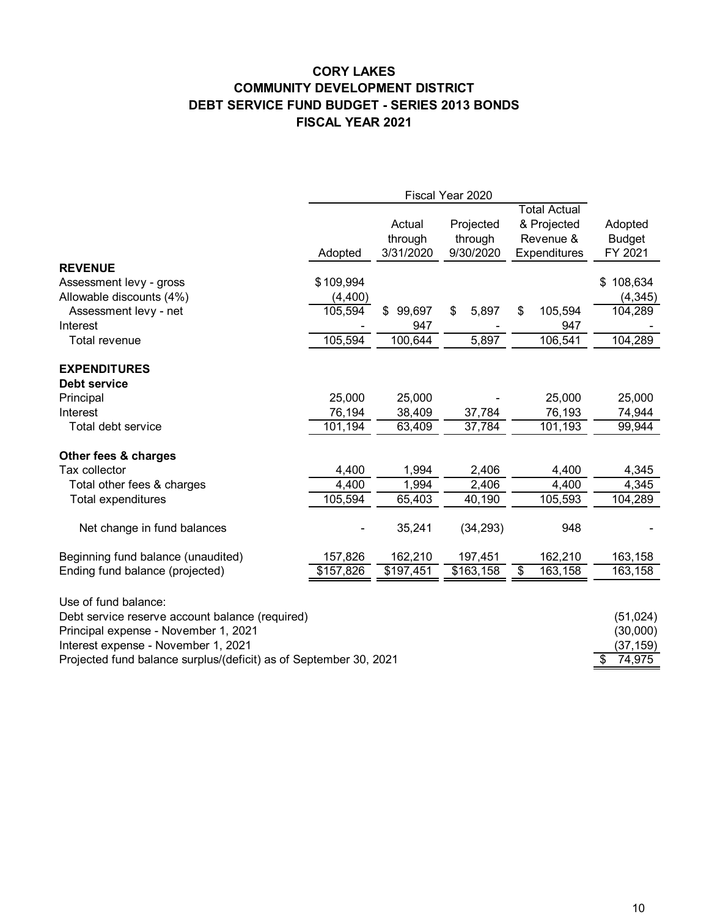# **CORY LAKES COMMUNITY DEVELOPMENT DISTRICT DEBT SERVICE FUND BUDGET - SERIES 2013 BONDS FISCAL YEAR 2021**

|                                                                   | Fiscal Year 2020 |              |             |                     |               |
|-------------------------------------------------------------------|------------------|--------------|-------------|---------------------|---------------|
|                                                                   |                  |              |             | <b>Total Actual</b> |               |
|                                                                   |                  | Actual       | Projected   | & Projected         | Adopted       |
|                                                                   |                  | through      | through     | Revenue &           | <b>Budget</b> |
|                                                                   | Adopted          | 3/31/2020    | 9/30/2020   | Expenditures        | FY 2021       |
| <b>REVENUE</b>                                                    |                  |              |             |                     |               |
| Assessment levy - gross                                           | \$109,994        |              |             |                     | 108,634<br>\$ |
| Allowable discounts (4%)                                          | (4,400)          |              |             |                     | (4, 345)      |
| Assessment levy - net                                             | 105,594          | 99,697<br>\$ | 5,897<br>\$ | 105,594<br>\$       | 104,289       |
| Interest                                                          |                  | 947          |             | 947                 |               |
| Total revenue                                                     | 105,594          | 100,644      | 5,897       | 106,541             | 104,289       |
| <b>EXPENDITURES</b>                                               |                  |              |             |                     |               |
| Debt service                                                      |                  |              |             |                     |               |
| Principal                                                         | 25,000           | 25,000       |             | 25,000              | 25,000        |
| Interest                                                          | 76,194           | 38,409       | 37,784      | 76,193              | 74,944        |
| Total debt service                                                | 101,194          | 63,409       | 37,784      | 101,193             | 99,944        |
| Other fees & charges                                              |                  |              |             |                     |               |
| Tax collector                                                     | 4,400            | 1,994        | 2,406       | 4,400               | 4,345         |
| Total other fees & charges                                        | 4,400            | 1,994        | 2,406       | 4,400               | 4,345         |
| <b>Total expenditures</b>                                         | 105,594          | 65,403       | 40,190      | 105,593             | 104,289       |
|                                                                   |                  |              |             |                     |               |
| Net change in fund balances                                       |                  | 35,241       | (34, 293)   | 948                 |               |
| Beginning fund balance (unaudited)                                | 157,826          | 162,210      | 197,451     | 162,210             | 163,158       |
| Ending fund balance (projected)                                   | \$157,826        | \$197,451    | \$163,158   | 163,158<br>\$       | 163,158       |
| Use of fund balance:                                              |                  |              |             |                     |               |
| Debt service reserve account balance (required)                   |                  |              |             |                     | (51, 024)     |
| Principal expense - November 1, 2021                              |                  |              |             |                     | (30,000)      |
| Interest expense - November 1, 2021                               |                  |              |             |                     | (37, 159)     |
| Projected fund balance surplus/(deficit) as of September 30, 2021 |                  |              |             |                     | 74,975        |
|                                                                   |                  |              |             |                     |               |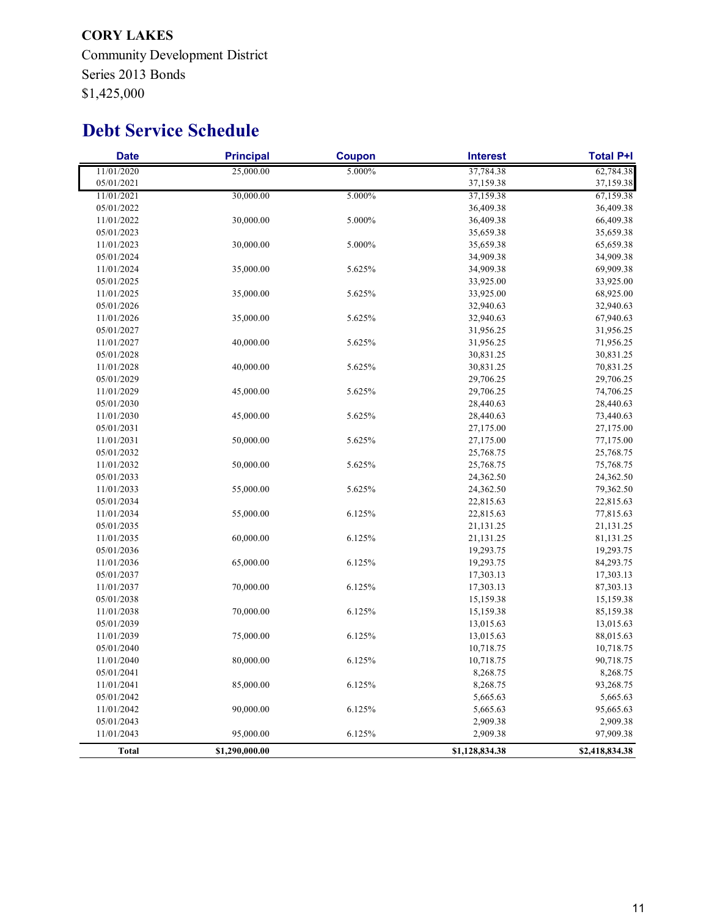**CORY LAKES** Community Development District Series 2013 Bonds \$1,425,000

# **Debt Service Schedule**

| <b>Date</b>  | <b>Principal</b> | <b>Coupon</b> | <b>Interest</b> | <b>Total P+I</b> |
|--------------|------------------|---------------|-----------------|------------------|
| 11/01/2020   | 25,000.00        | 5.000%        | 37,784.38       | 62,784.38        |
| 05/01/2021   |                  |               | 37,159.38       | 37,159.38        |
| 11/01/2021   | 30,000.00        | 5.000%        | 37,159.38       | 67,159.38        |
| 05/01/2022   |                  |               | 36,409.38       | 36,409.38        |
| 11/01/2022   | 30,000.00        | 5.000%        | 36,409.38       | 66,409.38        |
| 05/01/2023   |                  |               | 35,659.38       | 35,659.38        |
| 11/01/2023   | 30,000.00        | 5.000%        | 35,659.38       | 65,659.38        |
| 05/01/2024   |                  |               | 34,909.38       | 34,909.38        |
| 11/01/2024   | 35,000.00        | 5.625%        | 34,909.38       | 69,909.38        |
| 05/01/2025   |                  |               | 33,925.00       | 33,925.00        |
| 11/01/2025   | 35,000.00        | 5.625%        | 33,925.00       | 68,925.00        |
| 05/01/2026   |                  |               | 32,940.63       | 32,940.63        |
| 11/01/2026   | 35,000.00        | 5.625%        | 32,940.63       | 67,940.63        |
| 05/01/2027   |                  |               | 31,956.25       | 31,956.25        |
| 11/01/2027   | 40,000.00        | 5.625%        | 31,956.25       | 71,956.25        |
| 05/01/2028   |                  |               | 30,831.25       | 30,831.25        |
| 11/01/2028   | 40,000.00        | 5.625%        | 30,831.25       | 70,831.25        |
| 05/01/2029   |                  |               | 29,706.25       | 29,706.25        |
| 11/01/2029   | 45,000.00        | 5.625%        | 29,706.25       | 74,706.25        |
| 05/01/2030   |                  |               | 28,440.63       | 28,440.63        |
| 11/01/2030   | 45,000.00        | 5.625%        | 28,440.63       | 73,440.63        |
| 05/01/2031   |                  |               | 27,175.00       | 27,175.00        |
| 11/01/2031   | 50,000.00        | 5.625%        | 27,175.00       | 77,175.00        |
| 05/01/2032   |                  |               | 25,768.75       | 25,768.75        |
| 11/01/2032   | 50,000.00        | 5.625%        | 25,768.75       | 75,768.75        |
| 05/01/2033   |                  |               | 24,362.50       | 24,362.50        |
| 11/01/2033   | 55,000.00        | 5.625%        | 24,362.50       | 79,362.50        |
| 05/01/2034   |                  |               | 22,815.63       | 22,815.63        |
| 11/01/2034   | 55,000.00        | 6.125%        | 22,815.63       | 77,815.63        |
| 05/01/2035   |                  |               | 21,131.25       | 21,131.25        |
| 11/01/2035   | 60,000.00        | 6.125%        | 21,131.25       | 81,131.25        |
| 05/01/2036   |                  |               | 19,293.75       | 19,293.75        |
| 11/01/2036   | 65,000.00        | 6.125%        | 19,293.75       | 84,293.75        |
| 05/01/2037   |                  |               | 17,303.13       | 17,303.13        |
| 11/01/2037   | 70,000.00        | 6.125%        | 17,303.13       | 87,303.13        |
| 05/01/2038   |                  |               | 15,159.38       | 15,159.38        |
| 11/01/2038   | 70,000.00        | 6.125%        | 15,159.38       | 85,159.38        |
| 05/01/2039   |                  |               | 13,015.63       | 13,015.63        |
| 11/01/2039   | 75,000.00        | 6.125%        | 13,015.63       | 88,015.63        |
| 05/01/2040   |                  |               | 10,718.75       | 10,718.75        |
| 11/01/2040   | 80,000.00        | 6.125%        | 10,718.75       | 90,718.75        |
| 05/01/2041   |                  |               | 8,268.75        | 8,268.75         |
| 11/01/2041   | 85,000.00        | 6.125%        | 8,268.75        | 93,268.75        |
| 05/01/2042   |                  |               | 5,665.63        | 5,665.63         |
| 11/01/2042   | 90,000.00        | 6.125%        | 5,665.63        | 95,665.63        |
| 05/01/2043   |                  |               | 2,909.38        | 2,909.38         |
| 11/01/2043   | 95,000.00        | 6.125%        | 2,909.38        | 97,909.38        |
| <b>Total</b> | \$1,290,000.00   |               | \$1,128,834.38  | \$2,418,834.38   |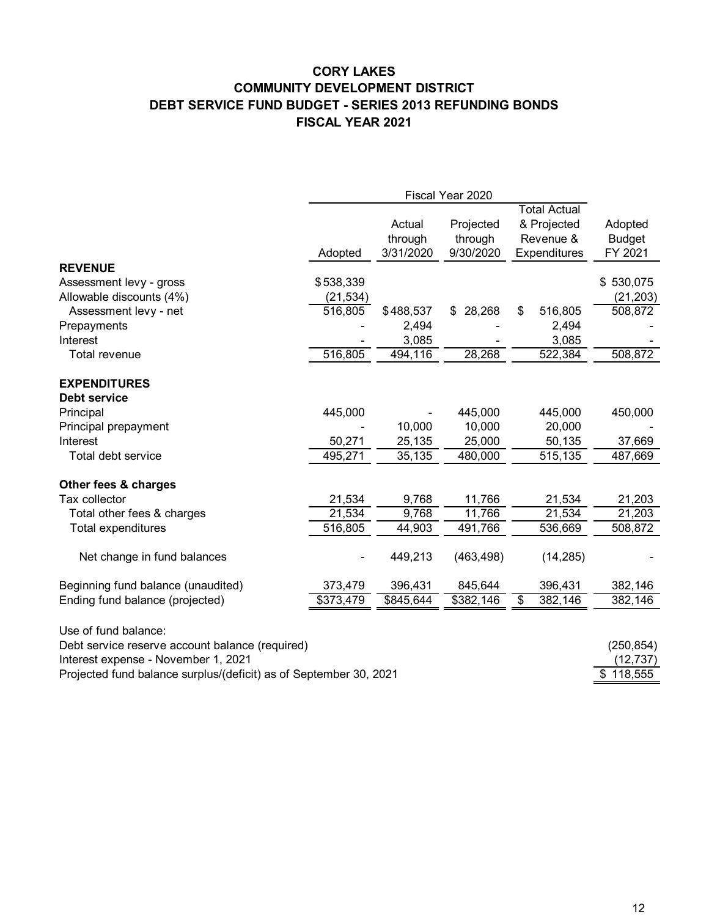# **CORY LAKES COMMUNITY DEVELOPMENT DISTRICT DEBT SERVICE FUND BUDGET - SERIES 2013 REFUNDING BONDS FISCAL YEAR 2021**

|                                                                   | Fiscal Year 2020 |           |              |    |                     |               |
|-------------------------------------------------------------------|------------------|-----------|--------------|----|---------------------|---------------|
|                                                                   |                  |           |              |    | <b>Total Actual</b> |               |
|                                                                   |                  | Actual    | Projected    |    | & Projected         | Adopted       |
|                                                                   |                  | through   | through      |    | Revenue &           | <b>Budget</b> |
|                                                                   | Adopted          | 3/31/2020 | 9/30/2020    |    | Expenditures        | FY 2021       |
| <b>REVENUE</b>                                                    |                  |           |              |    |                     |               |
| Assessment levy - gross                                           | \$538,339        |           |              |    |                     | \$530,075     |
| Allowable discounts (4%)                                          | (21, 534)        |           |              |    |                     | (21, 203)     |
| Assessment levy - net                                             | 516,805          | \$488,537 | 28,268<br>\$ | \$ | 516,805             | 508,872       |
| Prepayments                                                       |                  | 2,494     |              |    | 2,494               |               |
| Interest                                                          |                  | 3,085     |              |    | 3,085               |               |
| Total revenue                                                     | 516,805          | 494,116   | 28,268       |    | 522,384             | 508,872       |
| <b>EXPENDITURES</b>                                               |                  |           |              |    |                     |               |
| <b>Debt service</b>                                               |                  |           |              |    |                     |               |
| Principal                                                         | 445,000          |           | 445,000      |    | 445,000             | 450,000       |
| Principal prepayment                                              |                  | 10,000    | 10,000       |    | 20,000              |               |
| Interest                                                          | 50,271           | 25,135    | 25,000       |    | 50,135              | 37,669        |
| Total debt service                                                | 495,271          | 35,135    | 480,000      |    | 515,135             | 487,669       |
| Other fees & charges                                              |                  |           |              |    |                     |               |
| Tax collector                                                     | 21,534           | 9,768     | 11,766       |    | 21,534              | 21,203        |
| Total other fees & charges                                        | 21,534           | 9,768     | 11,766       |    | 21,534              | 21,203        |
| <b>Total expenditures</b>                                         | 516,805          | 44,903    | 491,766      |    | 536,669             | 508,872       |
| Net change in fund balances                                       |                  | 449,213   | (463, 498)   |    | (14, 285)           |               |
| Beginning fund balance (unaudited)                                | 373,479          | 396,431   | 845,644      |    | 396,431             | 382,146       |
| Ending fund balance (projected)                                   | \$373,479        | \$845,644 | \$382,146    | \$ | 382,146             | 382,146       |
| Use of fund balance:                                              |                  |           |              |    |                     |               |
| Debt service reserve account balance (required)                   |                  |           |              |    |                     | (250, 854)    |
| Interest expense - November 1, 2021                               |                  |           |              |    |                     | (12, 737)     |
| Projected fund balance surplus/(deficit) as of September 30, 2021 |                  |           |              |    |                     | \$118,555     |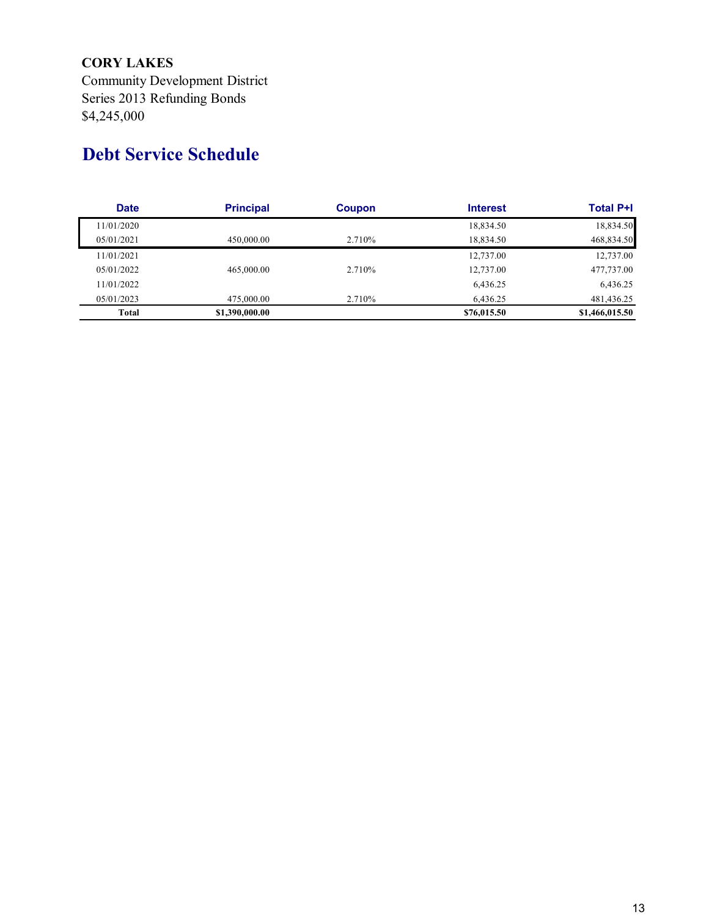# **CORY LAKES**

Community Development District Series 2013 Refunding Bonds \$4,245,000

# **Debt Service Schedule**

| <b>Date</b> | <b>Principal</b> | <b>Coupon</b> | <b>Interest</b> | <b>Total P+I</b> |
|-------------|------------------|---------------|-----------------|------------------|
| 11/01/2020  |                  |               | 18,834.50       | 18,834.50        |
| 05/01/2021  | 450,000.00       | 2.710%        | 18.834.50       | 468,834.50       |
| 11/01/2021  |                  |               | 12,737.00       | 12,737.00        |
| 05/01/2022  | 465,000.00       | 2.710\%       | 12,737.00       | 477,737.00       |
| 11/01/2022  |                  |               | 6,436.25        | 6.436.25         |
| 05/01/2023  | 475,000.00       | 2.710%        | 6.436.25        | 481,436.25       |
| Total       | \$1,390,000.00   |               | \$76,015.50     | \$1,466,015.50   |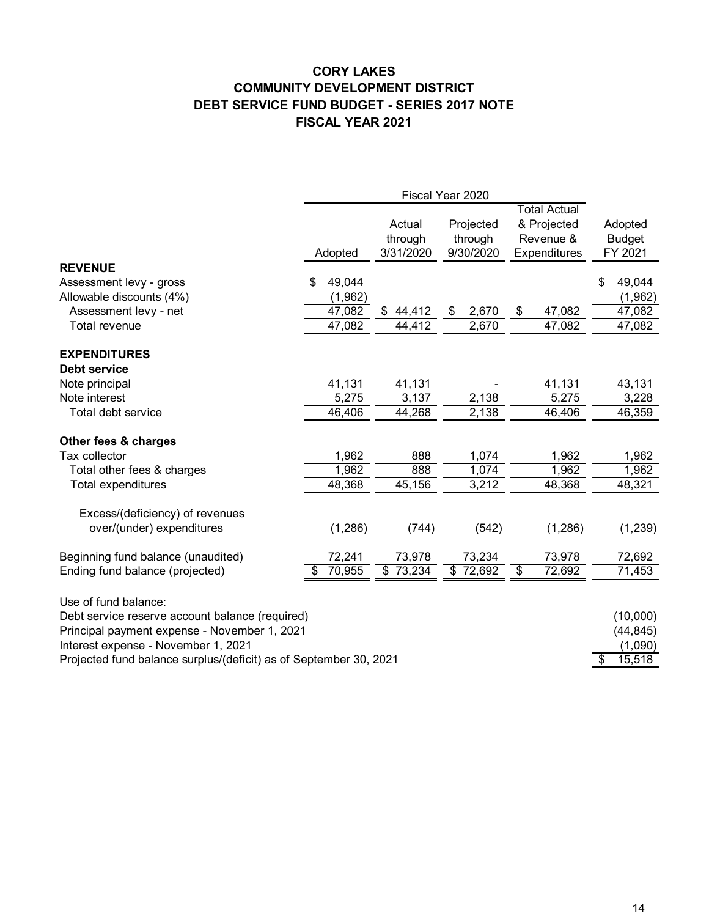# **CORY LAKES COMMUNITY DEVELOPMENT DISTRICT DEBT SERVICE FUND BUDGET - SERIES 2017 NOTE FISCAL YEAR 2021**

|                                                                   | Adopted      | Actual<br>through<br>3/31/2020 | Projected<br>through<br>9/30/2020 | <b>Total Actual</b><br>& Projected<br>Revenue &<br>Expenditures | Adopted<br><b>Budget</b><br>FY 2021 |
|-------------------------------------------------------------------|--------------|--------------------------------|-----------------------------------|-----------------------------------------------------------------|-------------------------------------|
| <b>REVENUE</b>                                                    |              |                                |                                   |                                                                 |                                     |
| Assessment levy - gross                                           | \$<br>49,044 |                                |                                   |                                                                 | \$<br>49,044                        |
| Allowable discounts (4%)                                          | (1,962)      |                                |                                   |                                                                 | (1,962)                             |
| Assessment levy - net                                             | 47,082       | 44,412<br>\$                   | 2,670<br>\$                       | \$<br>47,082                                                    | 47,082                              |
| Total revenue                                                     | 47,082       | 44,412                         | 2,670                             | 47,082                                                          | 47,082                              |
| <b>EXPENDITURES</b>                                               |              |                                |                                   |                                                                 |                                     |
| Debt service                                                      |              |                                |                                   |                                                                 |                                     |
| Note principal                                                    | 41,131       | 41,131                         |                                   | 41,131                                                          | 43,131                              |
| Note interest                                                     | 5,275        | 3,137                          | 2,138                             | 5,275                                                           | 3,228                               |
| Total debt service                                                | 46,406       | 44,268                         | 2,138                             | 46,406                                                          | 46,359                              |
| Other fees & charges                                              |              |                                |                                   |                                                                 |                                     |
| Tax collector                                                     | 1,962        | 888                            | 1,074                             | 1,962                                                           | 1,962                               |
| Total other fees & charges                                        | 1,962        | 888                            | 1,074                             | 1,962                                                           | 1,962                               |
| Total expenditures                                                | 48,368       | 45,156                         | 3,212                             | 48,368                                                          | 48,321                              |
| Excess/(deficiency) of revenues                                   |              |                                |                                   |                                                                 |                                     |
| over/(under) expenditures                                         | (1, 286)     | (744)                          | (542)                             | (1, 286)                                                        | (1, 239)                            |
| Beginning fund balance (unaudited)                                | 72,241       | 73,978                         | 73,234                            | 73,978                                                          | 72,692                              |
| Ending fund balance (projected)                                   | 70,955       | \$<br>73,234                   | \$72,692                          | 72,692<br>\$                                                    | 71,453                              |
| Use of fund balance:                                              |              |                                |                                   |                                                                 |                                     |
| Debt service reserve account balance (required)                   |              |                                |                                   |                                                                 | (10,000)                            |
| Principal payment expense - November 1, 2021                      |              |                                |                                   |                                                                 | (44, 845)                           |
| Interest expense - November 1, 2021                               |              |                                |                                   |                                                                 | (1,090)                             |
| Projected fund balance surplus/(deficit) as of September 30, 2021 |              |                                |                                   |                                                                 | 15,518<br>\$                        |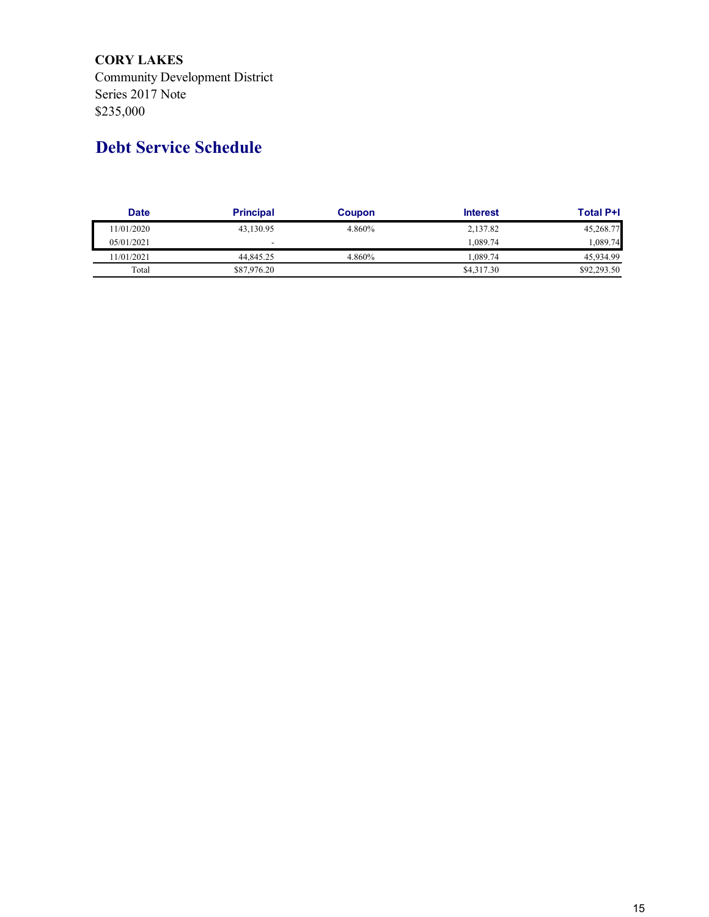**CORY LAKES** Community Development District Series 2017 Note \$235,000

# **Debt Service Schedule**

| <b>Date</b> | <b>Principal</b>         | Coupon | <b>Interest</b> | <b>Total P+I</b> |
|-------------|--------------------------|--------|-----------------|------------------|
| 11/01/2020  | 43,130.95                | 4.860% | 2,137.82        | 45,268.77        |
| 05/01/2021  | $\overline{\phantom{0}}$ |        | 1.089.74        | 1,089.74         |
| 11/01/2021  | 44,845.25                | 4.860% | .089.74         | 45.934.99        |
| Total       | \$87,976.20              |        | \$4,317.30      | \$92,293.50      |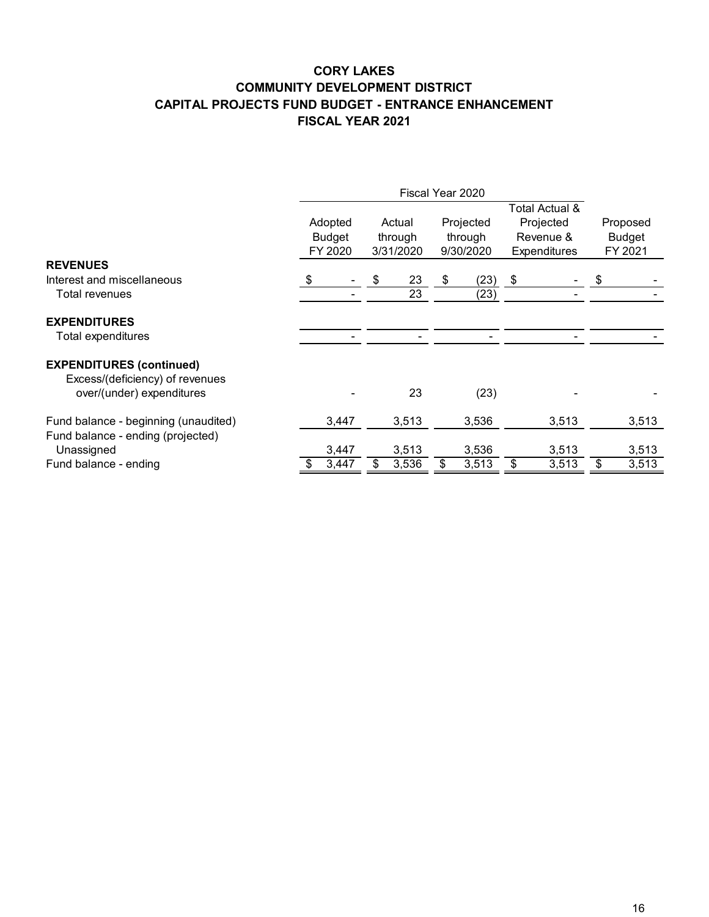# **CORY LAKES COMMUNITY DEVELOPMENT DISTRICT CAPITAL PROJECTS FUND BUDGET - ENTRANCE ENHANCEMENT FISCAL YEAR 2021**

|                                                                                                 |                                     | Fiscal Year 2020 |                                |       |                                   |       |                                                          |       |                                      |       |
|-------------------------------------------------------------------------------------------------|-------------------------------------|------------------|--------------------------------|-------|-----------------------------------|-------|----------------------------------------------------------|-------|--------------------------------------|-------|
|                                                                                                 | Adopted<br><b>Budget</b><br>FY 2020 |                  | Actual<br>through<br>3/31/2020 |       | Projected<br>through<br>9/30/2020 |       | Total Actual &<br>Projected<br>Revenue &<br>Expenditures |       | Proposed<br><b>Budget</b><br>FY 2021 |       |
| <b>REVENUES</b>                                                                                 |                                     |                  |                                |       |                                   |       |                                                          |       |                                      |       |
| Interest and miscellaneous                                                                      | - \$                                |                  | \$                             | 23    | \$                                | (23)  | \$                                                       |       | \$                                   |       |
| Total revenues                                                                                  |                                     |                  |                                | 23    |                                   | (23)  |                                                          |       |                                      |       |
| <b>EXPENDITURES</b>                                                                             |                                     |                  |                                |       |                                   |       |                                                          |       |                                      |       |
| Total expenditures                                                                              |                                     |                  |                                |       |                                   |       |                                                          |       |                                      |       |
| <b>EXPENDITURES (continued)</b><br>Excess/(deficiency) of revenues<br>over/(under) expenditures |                                     |                  |                                | 23    |                                   | (23)  |                                                          |       |                                      |       |
| Fund balance - beginning (unaudited)<br>Fund balance - ending (projected)                       |                                     | 3,447            |                                | 3,513 |                                   | 3,536 |                                                          | 3,513 |                                      | 3,513 |
| Unassigned                                                                                      |                                     | 3,447            |                                | 3,513 |                                   | 3,536 |                                                          | 3,513 |                                      | 3,513 |
| Fund balance - ending                                                                           |                                     | 3,447            | \$                             | 3,536 | \$                                | 3,513 | \$                                                       | 3,513 | \$                                   | 3,513 |